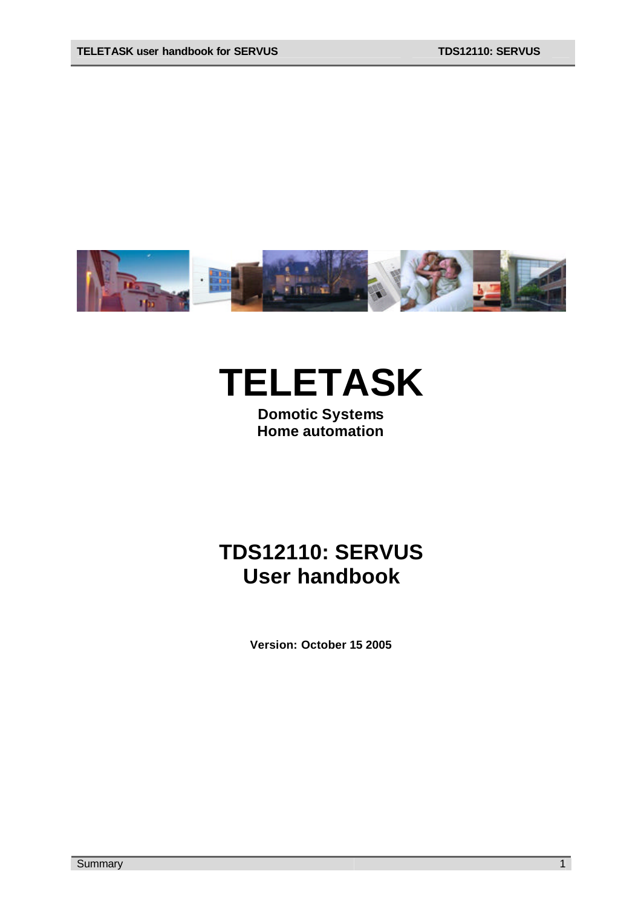

# **TELETASK**

**Domotic Systems Home automation**

## **TDS12110: SERVUS User handbook**

**Version: October 15 2005**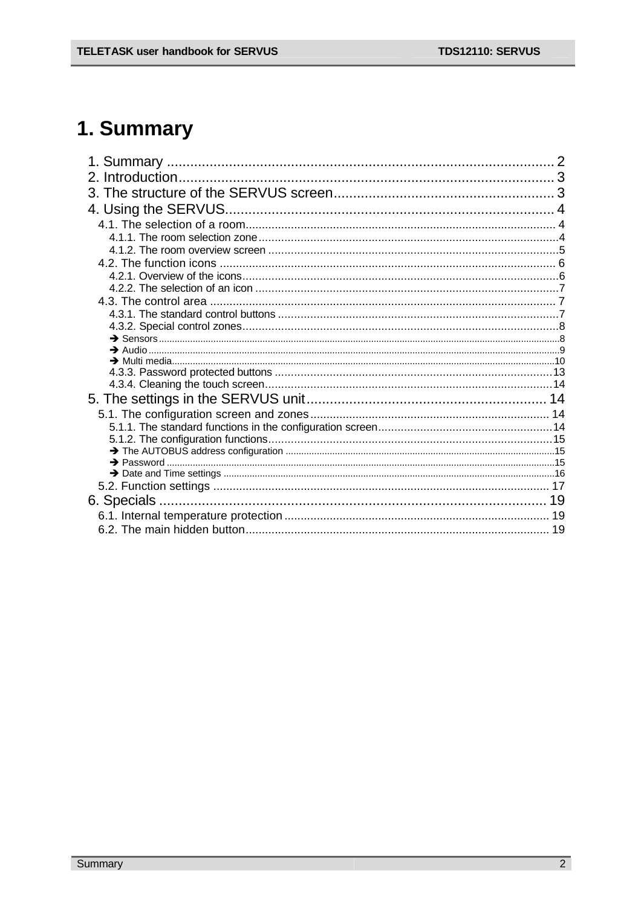## 1. Summary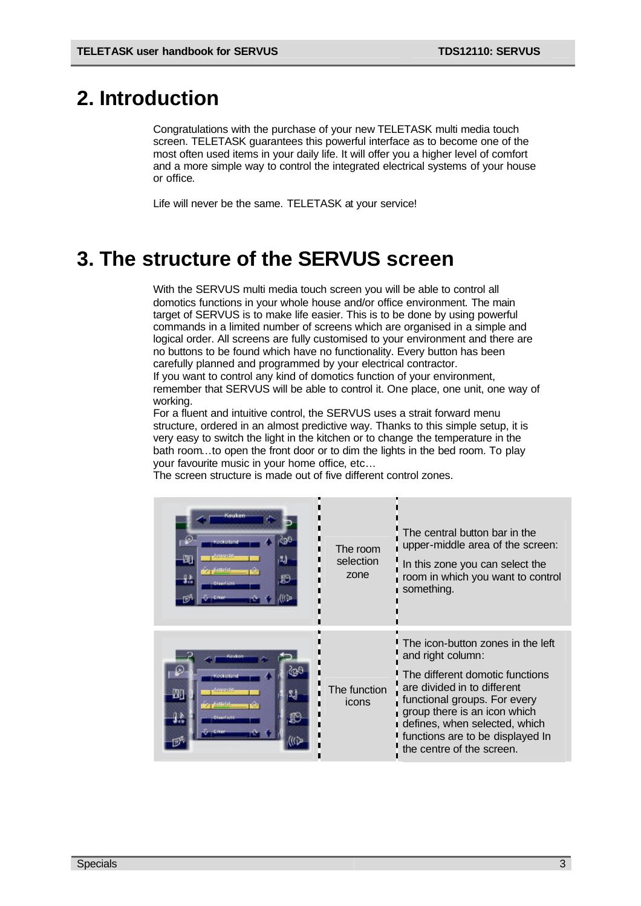## **2. Introduction**

Congratulations with the purchase of your new TELETASK multi media touch screen. TELETASK guarantees this powerful interface as to become one of the most often used items in your daily life. It will offer you a higher level of comfort and a more simple way to control the integrated electrical systems of your house or office.

Life will never be the same. TELETASK at your service!

## **3. The structure of the SERVUS screen**

With the SERVUS multi media touch screen you will be able to control all domotics functions in your whole house and/or office environment. The main target of SERVUS is to make life easier. This is to be done by using powerful commands in a limited number of screens which are organised in a simple and logical order. All screens are fully customised to your environment and there are no buttons to be found which have no functionality. Every button has been carefully planned and programmed by your electrical contractor.

If you want to control any kind of domotics function of your environment, remember that SERVUS will be able to control it. One place, one unit, one way of working.

For a fluent and intuitive control, the SERVUS uses a strait forward menu structure, ordered in an almost predictive way. Thanks to this simple setup, it is very easy to switch the light in the kitchen or to change the temperature in the bath room…to open the front door or to dim the lights in the bed room. To play your favourite music in your home office, etc…

The screen structure is made out of five different control zones.

| Kaukan<br>ann an<br>W.<br>په<br>胫 | The room<br>selection<br>zone | The central button bar in the<br>upper-middle area of the screen:<br>In this zone you can select the<br>room in which you want to control<br>something.                                                                                                                                        |
|-----------------------------------|-------------------------------|------------------------------------------------------------------------------------------------------------------------------------------------------------------------------------------------------------------------------------------------------------------------------------------------|
| N.                                | The function<br>icons         | The icon-button zones in the left<br>and right column:<br>The different domotic functions<br>are divided in to different<br>functional groups. For every<br>group there is an icon which<br>l defines, when selected, which<br>I functions are to be displayed In<br>the centre of the screen. |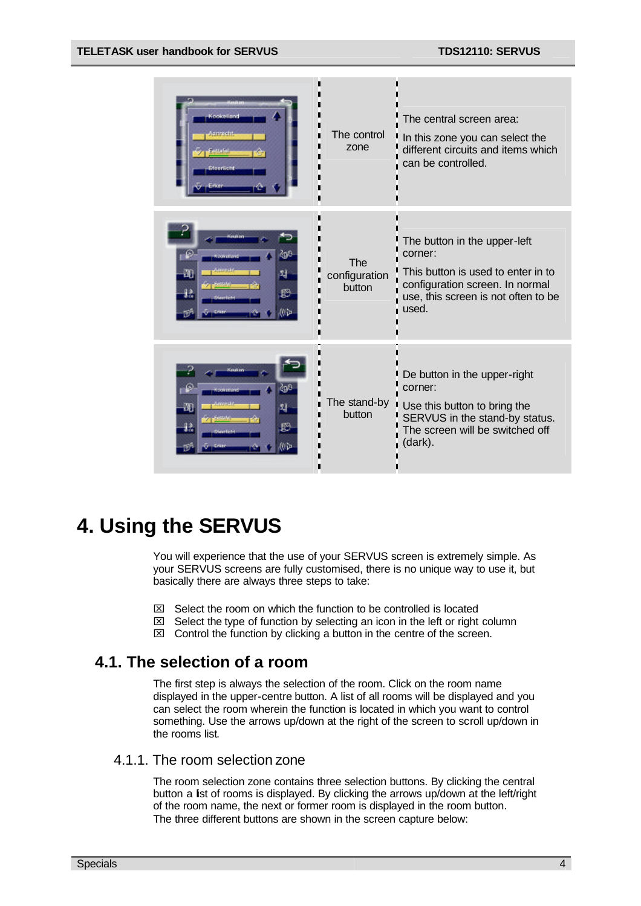| anreshi<br><b>Steerischt</b>                                  | The control<br>zone                   | The central screen area:<br>In this zone you can select the<br>different circuits and items which<br>can be controlled.                                          |
|---------------------------------------------------------------|---------------------------------------|------------------------------------------------------------------------------------------------------------------------------------------------------------------|
| Gouker<br>₽<br>დმ<br>呬<br>财<br>艋<br>I <sup>O</sup><br>心<br>Ŧ, | <b>The</b><br>configuration<br>button | The button in the upper-left<br>corner:<br>This button is used to enter in to<br>configuration screen. In normal<br>use, this screen is not often to be<br>used. |
| <b>Coult on</b><br>$\wp$<br>දිලව<br>砌<br>화.<br>43<br>B<br>心い  | The stand-by<br>button                | De button in the upper-right<br>corner:<br>Use this button to bring the<br>SERVUS in the stand-by status.<br>The screen will be switched off<br>(dark).          |

## **4. Using the SERVUS**

You will experience that the use of your SERVUS screen is extremely simple. As your SERVUS screens are fully customised, there is no unique way to use it, but basically there are always three steps to take:

- $\boxtimes$  Select the room on which the function to be controlled is located
- $\boxtimes$  Select the type of function by selecting an icon in the left or right column
- $\boxtimes$  Control the function by clicking a button in the centre of the screen.

## **4.1. The selection of a room**

The first step is always the selection of the room. Click on the room name displayed in the upper-centre button. A list of all rooms will be displayed and you can select the room wherein the function is located in which you want to control something. Use the arrows up/down at the right of the screen to scroll up/down in the rooms list.

### 4.1.1. The room selection zone

The room selection zone contains three selection buttons. By clicking the central button a list of rooms is displayed. By clicking the arrows up/down at the left/right of the room name, the next or former room is displayed in the room button. The three different buttons are shown in the screen capture below: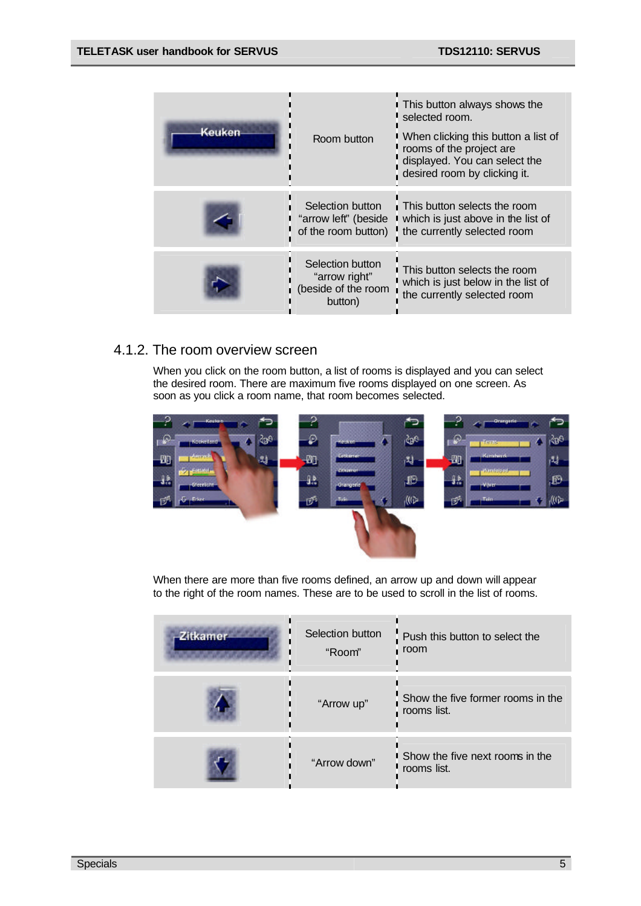| <b>Keuken</b> | Room button                                                         | <b>This button always shows the</b><br>selected room.<br>When clicking this button a list of<br>rooms of the project are<br>displayed. You can select the<br>desired room by clicking it. |
|---------------|---------------------------------------------------------------------|-------------------------------------------------------------------------------------------------------------------------------------------------------------------------------------------|
|               | Selection button<br>"arrow left" (beside<br>of the room button)     | <b>This button selects the room</b><br>I which is just above in the list of<br>the currently selected room                                                                                |
|               | Selection button<br>"arrow right"<br>(beside of the room<br>button) | <b>This button selects the room</b><br>which is just below in the list of<br>the currently selected room                                                                                  |

## 4.1.2. The room overview screen

When you click on the room button, a list of rooms is displayed and you can select the desired room. There are maximum five rooms displayed on one screen. As soon as you click a room name, that room becomes selected.



When there are more than five rooms defined, an arrow up and down will appear to the right of the room names. These are to be used to scroll in the list of rooms.

| Zitkamer | Selection button<br>"Room" | Push this button to select the<br>room                |
|----------|----------------------------|-------------------------------------------------------|
|          | "Arrow up"                 | Show the five former rooms in the<br>rooms list.      |
|          | "Arrow down"               | <b>Show the five next rooms in the</b><br>rooms list. |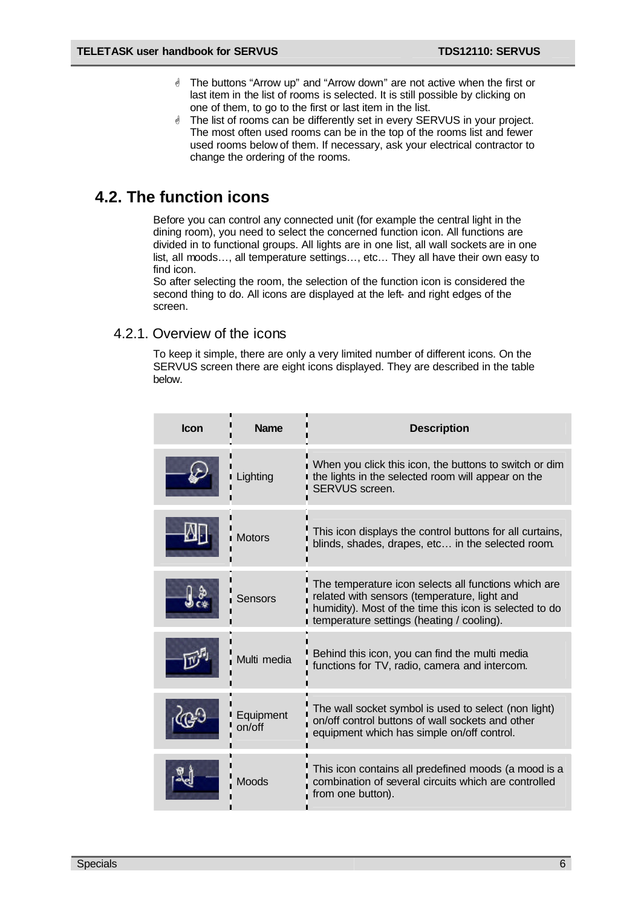- G The buttons "Arrow up" and "Arrow down" are not active when the first or last item in the list of rooms is selected. It is still possible by clicking on one of them, to go to the first or last item in the list.
- **J** The list of rooms can be differently set in every SERVUS in your project. The most often used rooms can be in the top of the rooms list and fewer used rooms below of them. If necessary, ask your electrical contractor to change the ordering of the rooms.

## **4.2. The function icons**

Before you can control any connected unit (for example the central light in the dining room), you need to select the concerned function icon. All functions are divided in to functional groups. All lights are in one list, all wall sockets are in one list, all moods…, all temperature settings…, etc… They all have their own easy to find icon.

So after selecting the room, the selection of the function icon is considered the second thing to do. All icons are displayed at the left- and right edges of the screen.

### 4.2.1. Overview of the icons

To keep it simple, there are only a very limited number of different icons. On the SERVUS screen there are eight icons displayed. They are described in the table below.

| <b>Icon</b> | <b>Name</b>         | <b>Description</b>                                                                                                                                                                                           |
|-------------|---------------------|--------------------------------------------------------------------------------------------------------------------------------------------------------------------------------------------------------------|
|             | Lighting            | When you click this icon, the buttons to switch or dim<br>the lights in the selected room will appear on the<br>SERVUS screen.                                                                               |
|             | <b>Motors</b>       | This icon displays the control buttons for all curtains,<br>blinds, shades, drapes, etc in the selected room.                                                                                                |
|             | Sensors             | The temperature icon selects all functions which are<br>related with sensors (temperature, light and<br>humidity). Most of the time this icon is selected to do<br>temperature settings (heating / cooling). |
|             | Multi media         | Behind this icon, you can find the multi media<br>functions for TV, radio, camera and intercom.                                                                                                              |
|             | Equipment<br>on/off | The wall socket symbol is used to select (non light)<br>on/off control buttons of wall sockets and other<br>equipment which has simple on/off control.                                                       |
|             | Moods               | This icon contains all predefined moods (a mood is a<br>combination of several circuits which are controlled<br>from one button).                                                                            |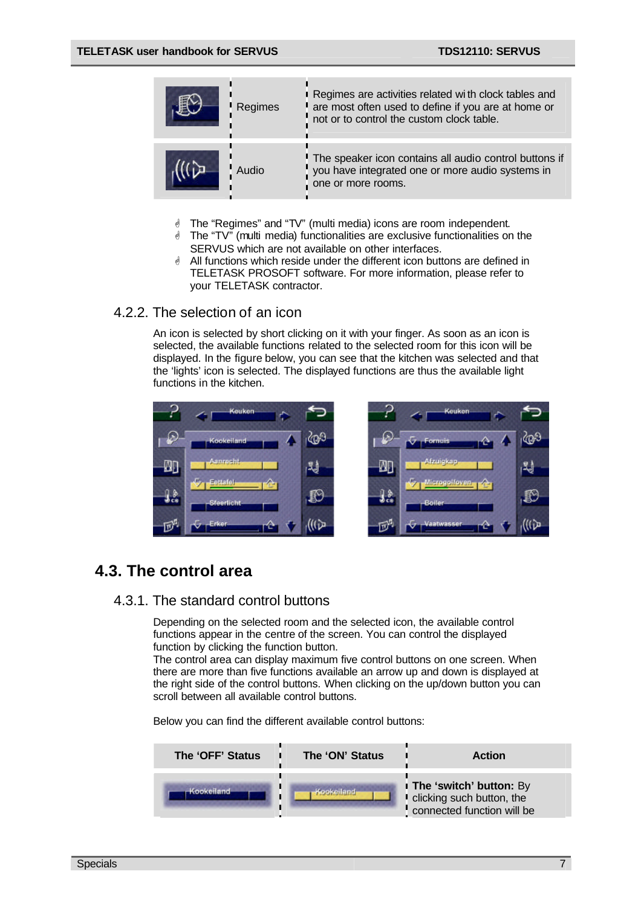| Regimes | Regimes are activities related with clock tables and<br>are most often used to define if you are at home or<br>not or to control the custom clock table. |
|---------|----------------------------------------------------------------------------------------------------------------------------------------------------------|
| Audio   | The speaker icon contains all audio control buttons if<br>you have integrated one or more audio systems in<br>one or more rooms.                         |

- **J** The "Regimes" and "TV" (multi media) icons are room independent.
- The "TV" (multi media) functionalities are exclusive functionalities on the SERVUS which are not available on other interfaces.
- **All functions which reside under the different icon buttons are defined in** TELETASK PROSOFT software. For more information, please refer to your TELETASK contractor.

### 4.2.2. The selection of an icon

An icon is selected by short clicking on it with your finger. As soon as an icon is selected, the available functions related to the selected room for this icon will be displayed. In the figure below, you can see that the kitchen was selected and that the 'lights' icon is selected. The displayed functions are thus the available light functions in the kitchen.



## **4.3. The control area**

#### 4.3.1. The standard control buttons

Depending on the selected room and the selected icon, the available control functions appear in the centre of the screen. You can control the displayed function by clicking the function button.

The control area can display maximum five control buttons on one screen. When there are more than five functions available an arrow up and down is displayed at the right side of the control buttons. When clicking on the up/down button you can scroll between all available control buttons.

Below you can find the different available control buttons:

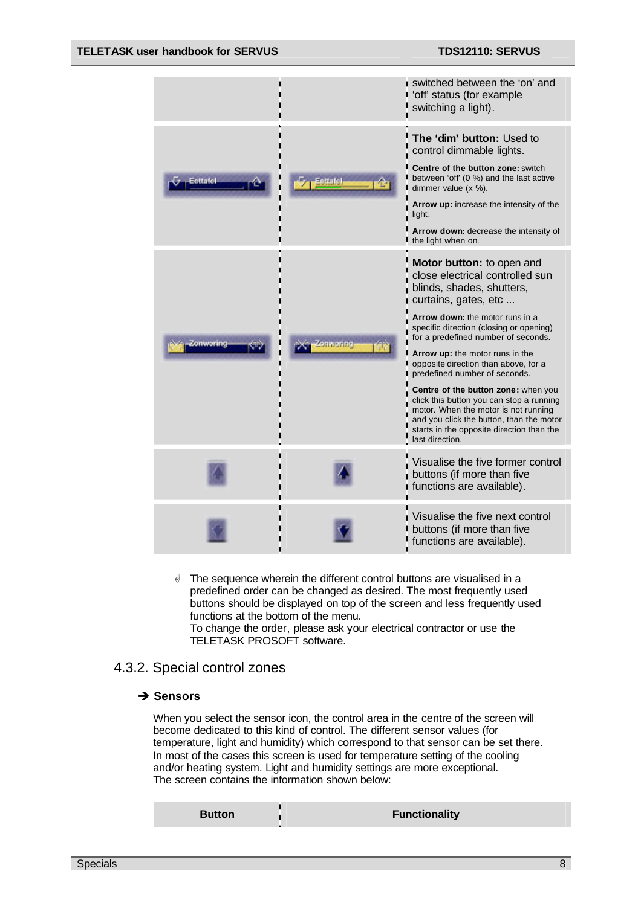

 $\mathcal Y$  The sequence wherein the different control buttons are visualised in a predefined order can be changed as desired. The most frequently used buttons should be displayed on top of the screen and less frequently used functions at the bottom of the menu.

To change the order, please ask your electrical contractor or use the TELETASK PROSOFT software.

### 4.3.2. Special control zones

#### $→$  **Sensors**

When you select the sensor icon, the control area in the centre of the screen will become dedicated to this kind of control. The different sensor values (for temperature, light and humidity) which correspond to that sensor can be set there. In most of the cases this screen is used for temperature setting of the cooling and/or heating system. Light and humidity settings are more exceptional. The screen contains the information shown below:

| <b>Button</b> | <b>Functionality</b> |
|---------------|----------------------|
|               |                      |

Specials 8 and 2012 and 2012 and 2012 and 2012 and 2012 and 2012 and 2012 and 2012 and 2012 and 201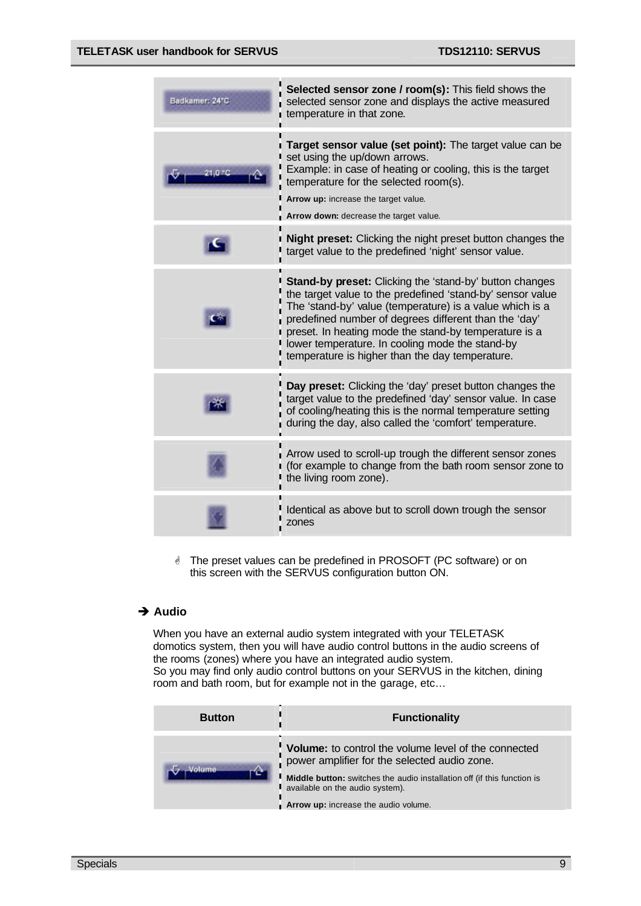| Badkamer: 24°C | Selected sensor zone / room(s): This field shows the<br>selected sensor zone and displays the active measured<br>temperature in that zone.                                                                                                                                                                                                                                                                       |
|----------------|------------------------------------------------------------------------------------------------------------------------------------------------------------------------------------------------------------------------------------------------------------------------------------------------------------------------------------------------------------------------------------------------------------------|
| 21.0 °C        | Target sensor value (set point): The target value can be<br>set using the up/down arrows.<br>Example: in case of heating or cooling, this is the target<br>temperature for the selected room(s).<br>Arrow up: increase the target value.<br>Arrow down: decrease the target value.                                                                                                                               |
|                | <b>Night preset:</b> Clicking the night preset button changes the<br>target value to the predefined 'night' sensor value.                                                                                                                                                                                                                                                                                        |
|                | <b>Stand-by preset:</b> Clicking the 'stand-by' button changes<br>the target value to the predefined 'stand-by' sensor value<br>The 'stand-by' value (temperature) is a value which is a<br>predefined number of degrees different than the 'day'<br>preset. In heating mode the stand-by temperature is a<br>lower temperature. In cooling mode the stand-by<br>temperature is higher than the day temperature. |
|                | Day preset: Clicking the 'day' preset button changes the<br>target value to the predefined 'day' sensor value. In case<br>of cooling/heating this is the normal temperature setting<br>during the day, also called the 'comfort' temperature.                                                                                                                                                                    |
|                | Arrow used to scroll-up trough the different sensor zones<br>(for example to change from the bath room sensor zone to<br>the living room zone).                                                                                                                                                                                                                                                                  |
|                | Identical as above but to scroll down trough the sensor<br>zones                                                                                                                                                                                                                                                                                                                                                 |

G The preset values can be predefined in PROSOFT (PC software) or on this screen with the SERVUS configuration button ON.

#### $→$  Audio

When you have an external audio system integrated with your TELETASK domotics system, then you will have audio control buttons in the audio screens of the rooms (zones) where you have an integrated audio system. So you may find only audio control buttons on your SERVUS in the kitchen, dining room and bath room, but for example not in the garage, etc…

| <b>Button</b> | <b>Functionality</b>                                                                                                                                                                                                                                       |
|---------------|------------------------------------------------------------------------------------------------------------------------------------------------------------------------------------------------------------------------------------------------------------|
| Valume        | Volume: to control the volume level of the connected<br>power amplifier for the selected audio zone.<br>Middle button: switches the audio installation off (if this function is<br>available on the audio system).<br>Arrow up: increase the audio volume. |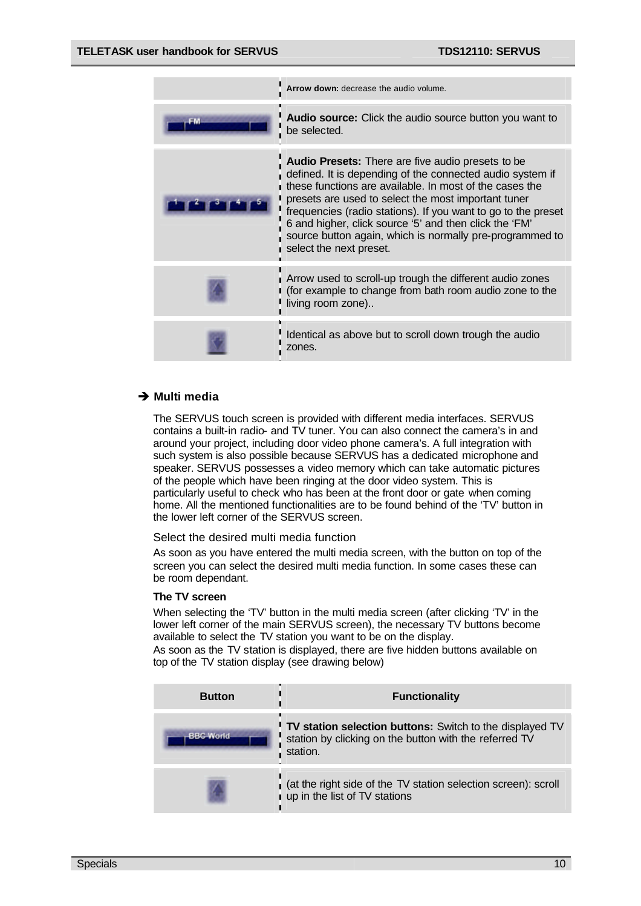| Arrow down: decrease the audio volume.                                                                                                                                                                                                                                                                                                                                                                                                             |
|----------------------------------------------------------------------------------------------------------------------------------------------------------------------------------------------------------------------------------------------------------------------------------------------------------------------------------------------------------------------------------------------------------------------------------------------------|
| <b>Audio source:</b> Click the audio source button you want to<br>be selected.                                                                                                                                                                                                                                                                                                                                                                     |
| Audio Presets: There are five audio presets to be<br>defined. It is depending of the connected audio system if<br>these functions are available. In most of the cases the<br>presets are used to select the most important tuner<br>frequencies (radio stations). If you want to go to the preset<br>6 and higher, click source '5' and then click the 'FM'<br>source button again, which is normally pre-programmed to<br>select the next preset. |
| Arrow used to scroll-up trough the different audio zones<br>f (for example to change from bath room audio zone to the<br>living room zone)                                                                                                                                                                                                                                                                                                         |
| Identical as above but to scroll down trough the audio<br>zones.                                                                                                                                                                                                                                                                                                                                                                                   |

#### Ë **Multi media**

The SERVUS touch screen is provided with different media interfaces. SERVUS contains a built-in radio- and TV tuner. You can also connect the camera's in and around your project, including door video phone camera's. A full integration with such system is also possible because SERVUS has a dedicated microphone and speaker. SERVUS possesses a video memory which can take automatic pictures of the people which have been ringing at the door video system. This is particularly useful to check who has been at the front door or gate when coming home. All the mentioned functionalities are to be found behind of the 'TV' button in the lower left corner of the SERVUS screen.

Select the desired multi media function

As soon as you have entered the multi media screen, with the button on top of the screen you can select the desired multi media function. In some cases these can be room dependant.

#### **The TV screen**

When selecting the 'TV' button in the multi media screen (after clicking 'TV' in the lower left corner of the main SERVUS screen), the necessary TV buttons become available to select the TV station you want to be on the display.

As soon as the TV station is displayed, there are five hidden buttons available on top of the TV station display (see drawing below)

| <b>Button</b>    | <b>Functionality</b>                                                                                                                  |
|------------------|---------------------------------------------------------------------------------------------------------------------------------------|
| <b>BBC World</b> | <b>TV station selection buttons:</b> Switch to the displayed TV<br>station by clicking on the button with the referred TV<br>station. |
|                  | at the right side of the TV station selection screen): scroll<br>up in the list of TV stations                                        |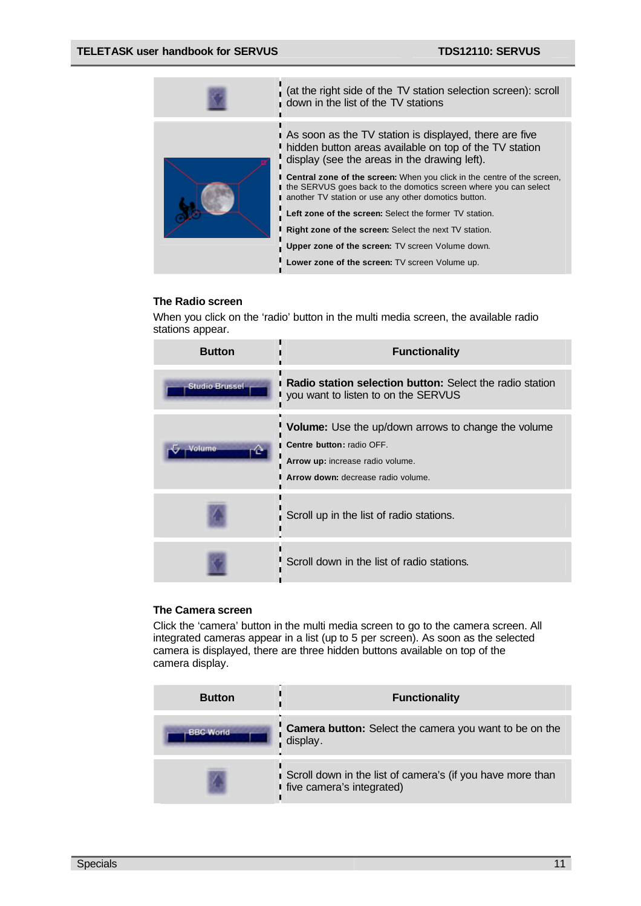| at the right side of the TV station selection screen): scroll<br>down in the list of the TV stations                                                                                                                                                                                                                                                                                                                                                                                                                                                                                                        |
|-------------------------------------------------------------------------------------------------------------------------------------------------------------------------------------------------------------------------------------------------------------------------------------------------------------------------------------------------------------------------------------------------------------------------------------------------------------------------------------------------------------------------------------------------------------------------------------------------------------|
| As soon as the TV station is displayed, there are five<br>I hidden button areas available on top of the TV station<br>display (see the areas in the drawing left).<br><b>I Central zone of the screen:</b> When you click in the centre of the screen,<br>the SERVUS goes back to the domotics screen where you can select<br>another TV station or use any other domotics button.<br>Left zone of the screen: Select the former TV station.<br>Right zone of the screen: Select the next TV station.<br>Upper zone of the screen: TV screen Volume down.<br>Lower zone of the screen: TV screen Volume up. |
|                                                                                                                                                                                                                                                                                                                                                                                                                                                                                                                                                                                                             |

#### **The Radio screen**

When you click on the 'radio' button in the multi media screen, the available radio stations appear.

| <b>Button</b>         | <b>Functionality</b>                                                                                                                                              |
|-----------------------|-------------------------------------------------------------------------------------------------------------------------------------------------------------------|
| <b>Studio Brussel</b> | <b>Radio station selection button:</b> Select the radio station<br>you want to listen to on the SERVUS                                                            |
| 'alume                | Volume: Use the up/down arrows to change the volume<br><b>Centre button: radio OFF.</b><br>Arrow up: increase radio volume.<br>Arrow down: decrease radio volume. |
|                       | Scroll up in the list of radio stations.                                                                                                                          |
|                       | Scroll down in the list of radio stations.                                                                                                                        |

#### **The Camera screen**

Click the 'camera' button in the multi media screen to go to the camera screen. All integrated cameras appear in a list (up to 5 per screen). As soon as the selected camera is displayed, there are three hidden buttons available on top of the camera display.

| <b>Button</b>    | <b>Functionality</b>                                                                      |
|------------------|-------------------------------------------------------------------------------------------|
| <b>BBC World</b> | <b>Camera button:</b> Select the camera you want to be on the<br>display.                 |
|                  | Scroll down in the list of camera's (if you have more than<br>I five camera's integrated) |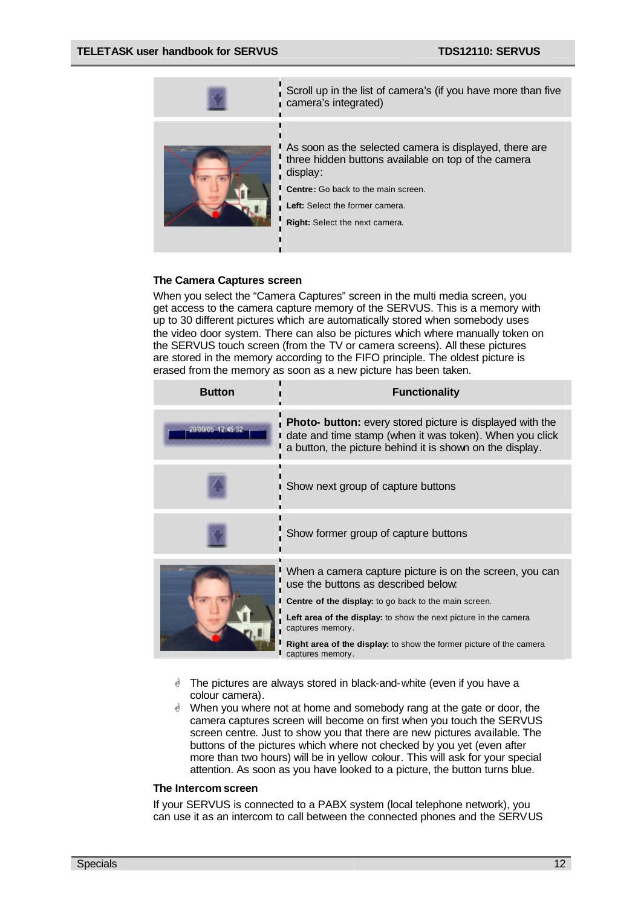

#### **The Camera Captures screen**

When you select the "Camera Captures" screen in the multi media screen, you get access to the camera capture memory of the SERVUS. This is a memory with up to 30 different pictures which are automatically stored when somebody uses the video door system. There can also be pictures which where manually token on the SERVUS touch screen (from the TV or camera screens). All these pictures are stored in the memory according to the FIFO principle. The oldest picture is erased from the memory as soon as a new picture has been taken.

| <b>Button</b>     | <b>Functionality</b>                                                                                                                                                                                                                                                                                                                              |
|-------------------|---------------------------------------------------------------------------------------------------------------------------------------------------------------------------------------------------------------------------------------------------------------------------------------------------------------------------------------------------|
| 29/09/05 12:45:32 | Photo- button: every stored picture is displayed with the<br>date and time stamp (when it was token). When you click<br>a button, the picture behind it is shown on the display.                                                                                                                                                                  |
|                   | Show next group of capture buttons                                                                                                                                                                                                                                                                                                                |
|                   | Show former group of capture buttons                                                                                                                                                                                                                                                                                                              |
|                   | When a camera capture picture is on the screen, you can<br>use the buttons as described below.<br>Centre of the display: to go back to the main screen.<br>Left area of the display: to show the next picture in the camera<br>captures memory.<br><b>Right area of the display:</b> to show the former picture of the camera<br>captures memory. |

- **J** The pictures are always stored in black-and-white (even if you have a colour camera).
- G When you where not at home and somebody rang at the gate or door, the camera captures screen will become on first when you touch the SERVUS screen centre. Just to show you that there are new pictures available. The buttons of the pictures which where not checked by you yet (even after more than two hours) will be in yellow colour. This will ask for your special attention. As soon as you have looked to a picture, the button turns blue.

#### **The Intercom screen**

If your SERVUS is connected to a PABX system (local telephone network), you can use it as an intercom to call between the connected phones and the SERVUS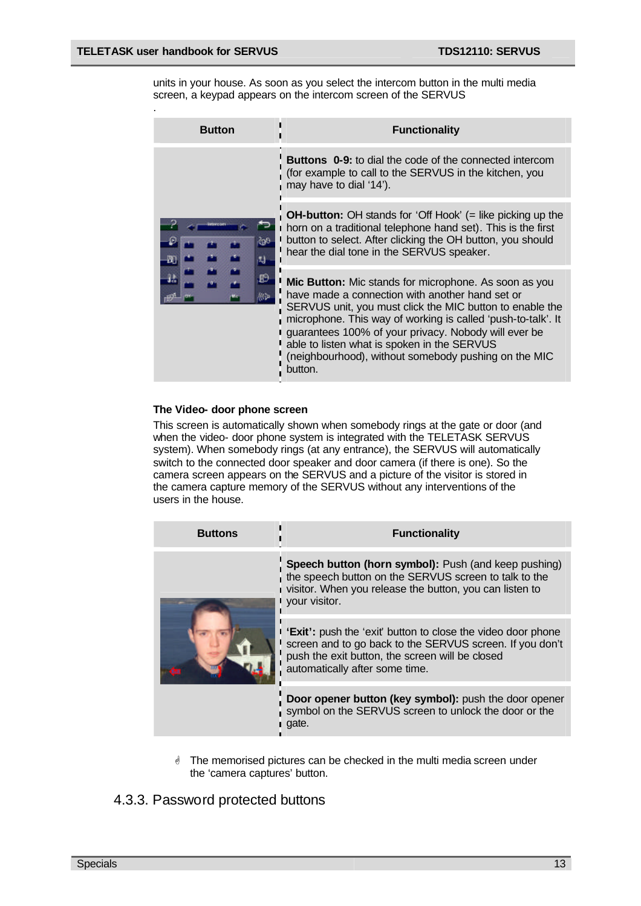.

units in your house. As soon as you select the intercom button in the multi media screen, a keypad appears on the intercom screen of the SERVUS

| <b>Button</b> | <b>Functionality</b>                                                                                                                                                                                                                                                                                                                                                                                                  |  |
|---------------|-----------------------------------------------------------------------------------------------------------------------------------------------------------------------------------------------------------------------------------------------------------------------------------------------------------------------------------------------------------------------------------------------------------------------|--|
|               | <b>Buttons 0-9:</b> to dial the code of the connected intercom<br>(for example to call to the SERVUS in the kitchen, you<br>may have to dial '14').                                                                                                                                                                                                                                                                   |  |
|               | <b>OH-button:</b> OH stands for 'Off Hook' (= like picking up the<br>I horn on a traditional telephone hand set). This is the first<br>button to select. After clicking the OH button, you should<br>hear the dial tone in the SERVUS speaker.                                                                                                                                                                        |  |
|               | <b>Mic Button:</b> Mic stands for microphone. As soon as you<br>have made a connection with another hand set or<br>SERVUS unit, you must click the MIC button to enable the<br>microphone. This way of working is called 'push-to-talk'. It<br>guarantees 100% of your privacy. Nobody will ever be<br>able to listen what is spoken in the SERVUS<br>(neighbourhood), without somebody pushing on the MIC<br>button. |  |

#### **The Video- door phone screen**

This screen is automatically shown when somebody rings at the gate or door (and when the video- door phone system is integrated with the TELETASK SERVUS system). When somebody rings (at any entrance), the SERVUS will automatically switch to the connected door speaker and door camera (if there is one). So the camera screen appears on the SERVUS and a picture of the visitor is stored in the camera capture memory of the SERVUS without any interventions of the users in the house.

| <b>Buttons</b> | <b>Functionality</b>                                                                                                                                                                                                 |  |
|----------------|----------------------------------------------------------------------------------------------------------------------------------------------------------------------------------------------------------------------|--|
|                | Speech button (horn symbol): Push (and keep pushing)<br>the speech button on the SERVUS screen to talk to the<br>visitor. When you release the button, you can listen to<br>I your visitor.                          |  |
|                | <b>'Exit':</b> push the 'exit' button to close the video door phone<br>screen and to go back to the SERVUS screen. If you don't<br>push the exit button, the screen will be closed<br>automatically after some time. |  |
|                | Door opener button (key symbol): push the door opener<br>symbol on the SERVUS screen to unlock the door or the<br>gate.                                                                                              |  |

 $\triangle$  The memorised pictures can be checked in the multi media screen under the 'camera captures' button.

### 4.3.3. Password protected buttons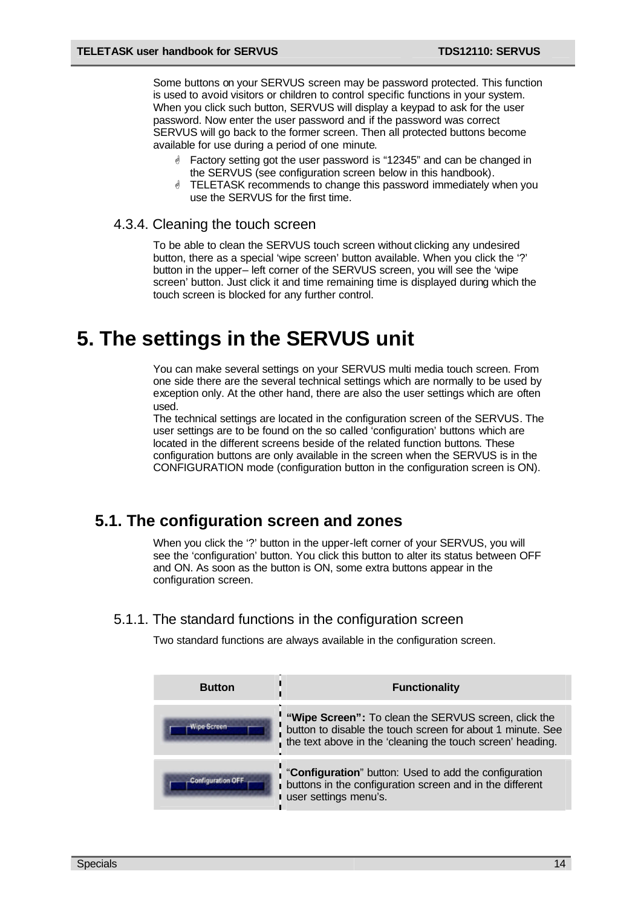Some buttons on your SERVUS screen may be password protected. This function is used to avoid visitors or children to control specific functions in your system. When you click such button, SERVUS will display a keypad to ask for the user password. Now enter the user password and if the password was correct SERVUS will go back to the former screen. Then all protected buttons become available for use during a period of one minute.

- $\triangle$  Factory setting got the user password is "12345" and can be changed in the SERVUS (see configuration screen below in this handbook).
- **J** TELETASK recommends to change this password immediately when you use the SERVUS for the first time.

#### 4.3.4. Cleaning the touch screen

To be able to clean the SERVUS touch screen without clicking any undesired button, there as a special 'wipe screen' button available. When you click the '?' button in the upper– left corner of the SERVUS screen, you will see the 'wipe screen' button. Just click it and time remaining time is displayed during which the touch screen is blocked for any further control.

## **5. The settings in the SERVUS unit**

You can make several settings on your SERVUS multi media touch screen. From one side there are the several technical settings which are normally to be used by exception only. At the other hand, there are also the user settings which are often used.

The technical settings are located in the configuration screen of the SERVUS. The user settings are to be found on the so called 'configuration' buttons which are located in the different screens beside of the related function buttons. These configuration buttons are only available in the screen when the SERVUS is in the CONFIGURATION mode (configuration button in the configuration screen is ON).

### **5.1. The configuration screen and zones**

When you click the '?' button in the upper-left corner of your SERVUS, you will see the 'configuration' button. You click this button to alter its status between OFF and ON. As soon as the button is ON, some extra buttons appear in the configuration screen.

5.1.1. The standard functions in the configuration screen

Two standard functions are always available in the configuration screen.

| <b>Button</b> | <b>Functionality</b>                                                                                                                                                             |
|---------------|----------------------------------------------------------------------------------------------------------------------------------------------------------------------------------|
| Screen        | "Wipe Screen": To clean the SERVUS screen, click the<br>button to disable the touch screen for about 1 minute. See<br>the text above in the 'cleaning the touch screen' heading. |
|               | Configuration" button: Used to add the configuration<br>buttons in the configuration screen and in the different<br>user settings menu's.                                        |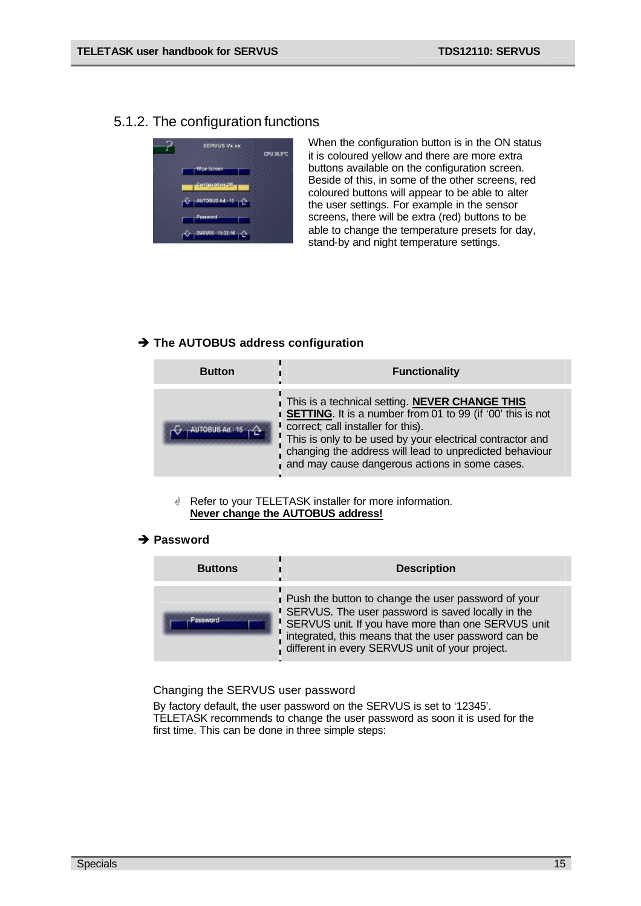## 5.1.2. The configuration functions



When the configuration button is in the ON status it is coloured yellow and there are more extra buttons available on the configuration screen. Beside of this, in some of the other screens, red coloured buttons will appear to be able to alter the user settings. For example in the sensor screens, there will be extra (red) buttons to be able to change the temperature presets for day, stand-by and night temperature settings.

### **→ The AUTOBUS address configuration**

| <b>Button</b>    | <b>Functionality</b>                                                                                                                                                                                                                                                                                                                |  |  |
|------------------|-------------------------------------------------------------------------------------------------------------------------------------------------------------------------------------------------------------------------------------------------------------------------------------------------------------------------------------|--|--|
| AUTOBUS Ad .: 15 | This is a technical setting. NEVER CHANGE THIS<br><b>SETTING.</b> It is a number from 01 to 99 (if '00' this is not<br>correct; call installer for this).<br>This is only to be used by your electrical contractor and<br>changing the address will lead to unpredicted behaviour<br>and may cause dangerous actions in some cases. |  |  |

G Refer to your TELETASK installer for more information. **Never change the AUTOBUS address!**

#### $→$  **Password**

| <b>Buttons</b> | <b>Description</b>                                                                                                                                                                                                                                                        |
|----------------|---------------------------------------------------------------------------------------------------------------------------------------------------------------------------------------------------------------------------------------------------------------------------|
| Password       | Push the button to change the user password of your<br>SERVUS. The user password is saved locally in the<br>SERVUS unit. If you have more than one SERVUS unit<br>integrated, this means that the user password can be<br>different in every SERVUS unit of your project. |

#### Changing the SERVUS user password

By factory default, the user password on the SERVUS is set to '12345'. TELETASK recommends to change the user password as soon it is used for the first time. This can be done in three simple steps: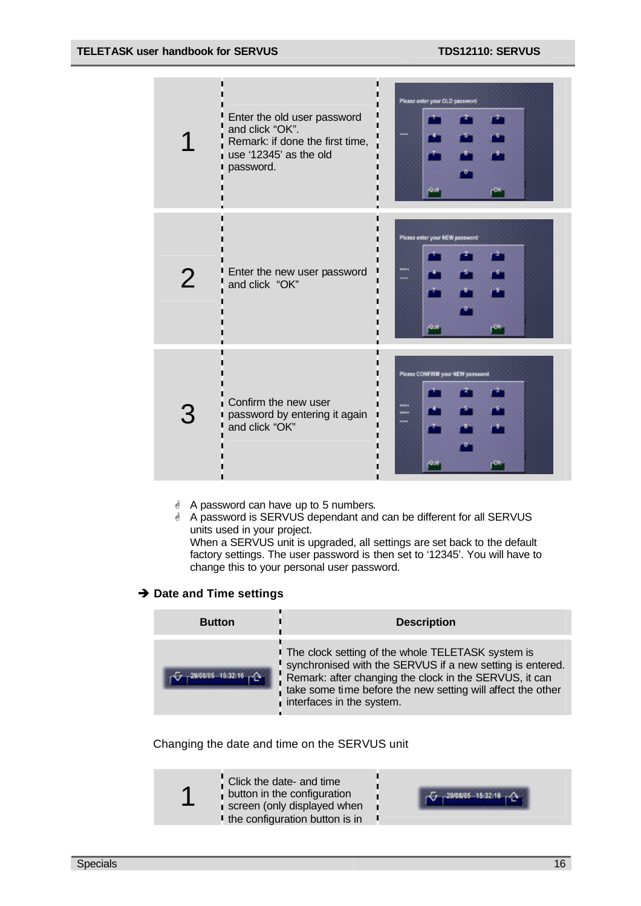|                            | Enter the old user password<br>and click "OK".<br>Remark: if done the first time,<br>use '12345' as the old<br>password. | Please enter your OLD password.                  |
|----------------------------|--------------------------------------------------------------------------------------------------------------------------|--------------------------------------------------|
| $\boldsymbol{\mathcal{V}}$ | Enter the new user password<br>and click "OK"                                                                            | Please enter your NEW password<br>min<br>Quit    |
|                            | Confirm the new user<br>password by entering it again<br>and click "OK"                                                  | Please CONFIRM your NEW password<br>min<br>,,,,, |

- **A** A password can have up to 5 numbers.
- G A password is SERVUS dependant and can be different for all SERVUS units used in your project.

When a SERVUS unit is upgraded, all settings are set back to the default factory settings. The user password is then set to '12345'. You will have to change this to your personal user password.

#### $→$  **Date and Time settings**

| <b>Button</b>   | <b>Description</b>                                                                                                                                                                                                                                                   |
|-----------------|----------------------------------------------------------------------------------------------------------------------------------------------------------------------------------------------------------------------------------------------------------------------|
| 29/08/05 15:32: | The clock setting of the whole TELETASK system is<br>synchronised with the SERVUS if a new setting is entered.<br>Remark: after changing the clock in the SERVUS, it can<br>take some time before the new setting will affect the other<br>interfaces in the system. |

Changing the date and time on the SERVUS unit

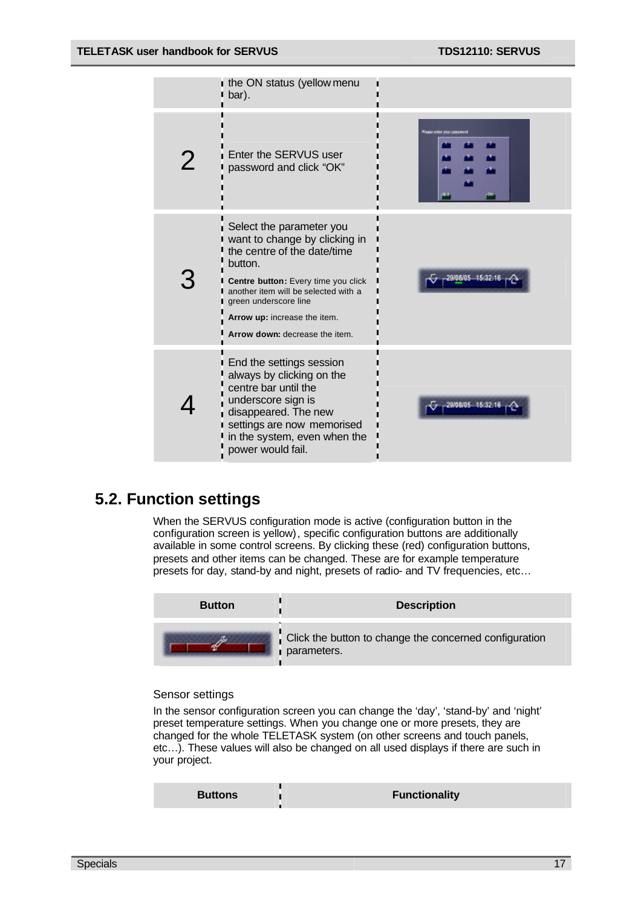| the ON status (yellow menu<br>bar).                                                                                                                                                                                                                                             |                             |
|---------------------------------------------------------------------------------------------------------------------------------------------------------------------------------------------------------------------------------------------------------------------------------|-----------------------------|
| Enter the SERVUS user<br>password and click "OK"                                                                                                                                                                                                                                | Finest unfor your possessed |
| Select the parameter you<br>I want to change by clicking in<br>the centre of the date/time<br>button.<br>Centre button: Every time you click<br>another item will be selected with a<br>green underscore line<br>Arrow up: increase the item.<br>Arrow down: decrease the item. | 29/08/05 15:32:16           |
| End the settings session<br>always by clicking on the<br>centre bar until the<br>underscore sign is<br>disappeared. The new<br>settings are now memorised<br>in the system, even when the<br>power would fail.                                                                  | 29/08/05 15:32:16           |

## **5.2. Function settings**

When the SERVUS configuration mode is active (configuration button in the configuration screen is yellow), specific configuration buttons are additionally available in some control screens. By clicking these (red) configuration buttons, presets and other items can be changed. These are for example temperature presets for day, stand-by and night, presets of radio- and TV frequencies, etc…



#### Sensor settings

In the sensor configuration screen you can change the 'day', 'stand-by' and 'night' preset temperature settings. When you change one or more presets, they are changed for the whole TELETASK system (on other screens and touch panels, etc…). These values will also be changed on all used displays if there are such in your project.

| <b>Buttons</b> | <b>Functionality</b> |
|----------------|----------------------|
|                |                      |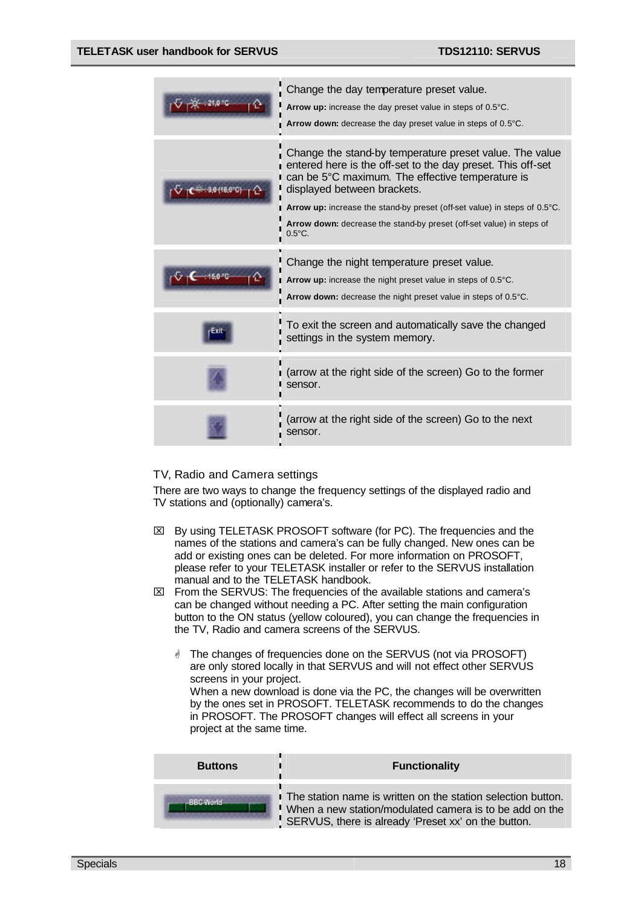| Change the day temperature preset value.<br>Arrow up: increase the day preset value in steps of 0.5°C.<br>Arrow down: decrease the day preset value in steps of 0.5°C.                                                                                                                                                                                                                    |
|-------------------------------------------------------------------------------------------------------------------------------------------------------------------------------------------------------------------------------------------------------------------------------------------------------------------------------------------------------------------------------------------|
| Change the stand-by temperature preset value. The value<br>entered here is the off-set to the day preset. This off-set<br>can be 5°C maximum. The effective temperature is<br>displayed between brackets.<br><b>Arrow up:</b> increase the stand-by preset (off-set value) in steps of 0.5°C.<br>Arrow down: decrease the stand-by preset (off-set value) in steps of<br>$0.5^{\circ}$ C. |
| Change the night temperature preset value.<br><b>Arrow up:</b> increase the night preset value in steps of $0.5^{\circ}$ C.<br>Arrow down: decrease the night preset value in steps of 0.5°C.                                                                                                                                                                                             |
| To exit the screen and automatically save the changed<br>settings in the system memory.                                                                                                                                                                                                                                                                                                   |
| Go to the fight side of the screen) Go to the former<br>I sensor.                                                                                                                                                                                                                                                                                                                         |
| (arrow at the right side of the screen) Go to the next<br>sensor.                                                                                                                                                                                                                                                                                                                         |

#### TV, Radio and Camera settings

There are two ways to change the frequency settings of the displayed radio and TV stations and (optionally) camera's.

- $\boxtimes$  By using TELETASK PROSOFT software (for PC). The frequencies and the names of the stations and camera's can be fully changed. New ones can be add or existing ones can be deleted. For more information on PROSOFT, please refer to your TELETASK installer or refer to the SERVUS installation manual and to the TELETASK handbook.
- $\boxtimes$  From the SERVUS: The frequencies of the available stations and camera's can be changed without needing a PC. After setting the main configuration button to the ON status (yellow coloured), you can change the frequencies in the TV, Radio and camera screens of the SERVUS.
	- **If** The changes of frequencies done on the SERVUS (not via PROSOFT) are only stored locally in that SERVUS and will not effect other SERVUS screens in your project.

When a new download is done via the PC, the changes will be overwritten by the ones set in PROSOFT. TELETASK recommends to do the changes in PROSOFT. The PROSOFT changes will effect all screens in your project at the same time.

| <b>Buttons</b>   | <b>Functionality</b>                                                                                                                                                             |
|------------------|----------------------------------------------------------------------------------------------------------------------------------------------------------------------------------|
| <b>BBC World</b> | The station name is written on the station selection button.<br>" When a new station/modulated camera is to be add on the<br>SERVUS, there is already 'Preset xx' on the button. |